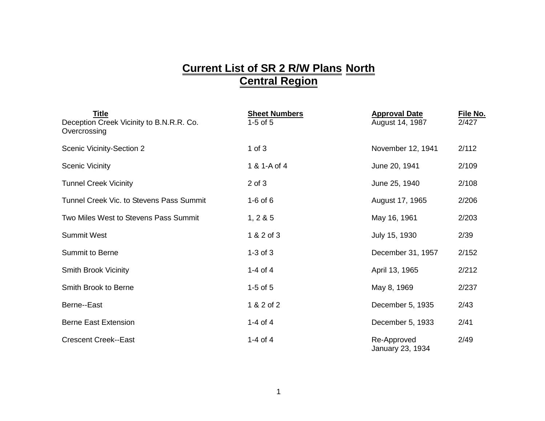## **Current List of SR 2 R/W Plans North Central Region**

| <b>Title</b><br>Deception Creek Vicinity to B.N.R.R. Co.<br>Overcrossing | <b>Sheet Numbers</b><br>$1-5$ of $5$ | <b>Approval Date</b><br>August 14, 1987 | File No.<br>2/427 |
|--------------------------------------------------------------------------|--------------------------------------|-----------------------------------------|-------------------|
| <b>Scenic Vicinity-Section 2</b>                                         | $1$ of $3$                           | November 12, 1941                       | 2/112             |
| <b>Scenic Vicinity</b>                                                   | 1 & 1-A of 4                         | June 20, 1941                           | 2/109             |
| <b>Tunnel Creek Vicinity</b>                                             | $2$ of $3$                           | June 25, 1940                           | 2/108             |
| Tunnel Creek Vic. to Stevens Pass Summit                                 | $1-6$ of $6$                         | August 17, 1965                         | 2/206             |
| Two Miles West to Stevens Pass Summit                                    | 1, 285                               | May 16, 1961                            | 2/203             |
| <b>Summit West</b>                                                       | 1 & 2 of 3                           | July 15, 1930                           | 2/39              |
| <b>Summit to Berne</b>                                                   | $1-3$ of $3$                         | December 31, 1957                       | 2/152             |
| <b>Smith Brook Vicinity</b>                                              | 1-4 of 4                             | April 13, 1965                          | 2/212             |
| Smith Brook to Berne                                                     | $1-5$ of $5$                         | May 8, 1969                             | 2/237             |
| Berne--East                                                              | 1 & 2 of 2                           | December 5, 1935                        | 2/43              |
| <b>Berne East Extension</b>                                              | 1-4 of 4                             | December 5, 1933                        | 2/41              |
| <b>Crescent Creek--East</b>                                              | $1-4$ of $4$                         | Re-Approved<br>January 23, 1934         | 2/49              |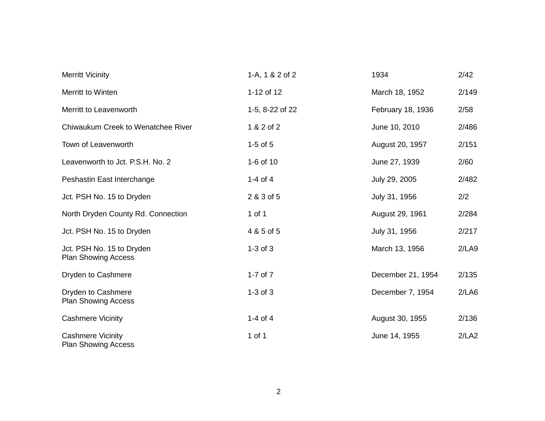| <b>Merritt Vicinity</b>                                 | 1-A, 1 & 2 of 2 | 1934              | 2/42  |
|---------------------------------------------------------|-----------------|-------------------|-------|
| Merritt to Winten                                       | 1-12 of 12      | March 18, 1952    | 2/149 |
| Merritt to Leavenworth                                  | 1-5, 8-22 of 22 | February 18, 1936 | 2/58  |
| Chiwaukum Creek to Wenatchee River                      | 1 & 2 of 2      | June 10, 2010     | 2/486 |
| Town of Leavenworth                                     | $1-5$ of $5$    | August 20, 1957   | 2/151 |
| Leavenworth to Jct. P.S.H. No. 2                        | 1-6 of 10       | June 27, 1939     | 2/60  |
| Peshastin East Interchange                              | 1-4 of 4        | July 29, 2005     | 2/482 |
| Jct. PSH No. 15 to Dryden                               | 2 & 3 of 5      | July 31, 1956     | 2/2   |
| North Dryden County Rd. Connection                      | 1 of 1          | August 29, 1961   | 2/284 |
| Jct. PSH No. 15 to Dryden                               | 4 & 5 of 5      | July 31, 1956     | 2/217 |
| Jct. PSH No. 15 to Dryden<br><b>Plan Showing Access</b> | $1-3$ of $3$    | March 13, 1956    | 2/LA9 |
| Dryden to Cashmere                                      | 1-7 of $7$      | December 21, 1954 | 2/135 |
| Dryden to Cashmere<br><b>Plan Showing Access</b>        | $1-3$ of $3$    | December 7, 1954  | 2/LAG |
| <b>Cashmere Vicinity</b>                                | 1-4 of 4        | August 30, 1955   | 2/136 |
| <b>Cashmere Vicinity</b><br><b>Plan Showing Access</b>  | 1 of 1          | June 14, 1955     | 2/LA2 |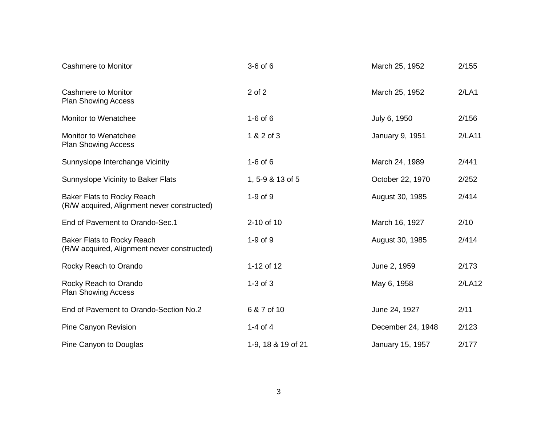| <b>Cashmere to Monitor</b>                                                       | $3-6$ of $6$       | March 25, 1952    | 2/155  |
|----------------------------------------------------------------------------------|--------------------|-------------------|--------|
| Cashmere to Monitor<br><b>Plan Showing Access</b>                                | 2 of 2             | March 25, 1952    | 2/LA1  |
| Monitor to Wenatchee                                                             | $1-6$ of $6$       | July 6, 1950      | 2/156  |
| Monitor to Wenatchee<br><b>Plan Showing Access</b>                               | 1 & 2 of 3         | January 9, 1951   | 2/LA11 |
| Sunnyslope Interchange Vicinity                                                  | $1-6$ of 6         | March 24, 1989    | 2/441  |
| Sunnyslope Vicinity to Baker Flats                                               | 1, 5-9 & 13 of 5   | October 22, 1970  | 2/252  |
| <b>Baker Flats to Rocky Reach</b><br>(R/W acquired, Alignment never constructed) | $1-9$ of $9$       | August 30, 1985   | 2/414  |
| End of Pavement to Orando-Sec.1                                                  | 2-10 of 10         | March 16, 1927    | 2/10   |
| Baker Flats to Rocky Reach<br>(R/W acquired, Alignment never constructed)        | $1-9$ of $9$       | August 30, 1985   | 2/414  |
| Rocky Reach to Orando                                                            | 1-12 of 12         | June 2, 1959      | 2/173  |
| Rocky Reach to Orando<br><b>Plan Showing Access</b>                              | $1-3$ of $3$       | May 6, 1958       | 2/LA12 |
| End of Pavement to Orando-Section No.2                                           | 6 & 7 of 10        | June 24, 1927     | 2/11   |
| Pine Canyon Revision                                                             | 1-4 of 4           | December 24, 1948 | 2/123  |
| Pine Canyon to Douglas                                                           | 1-9, 18 & 19 of 21 | January 15, 1957  | 2/177  |